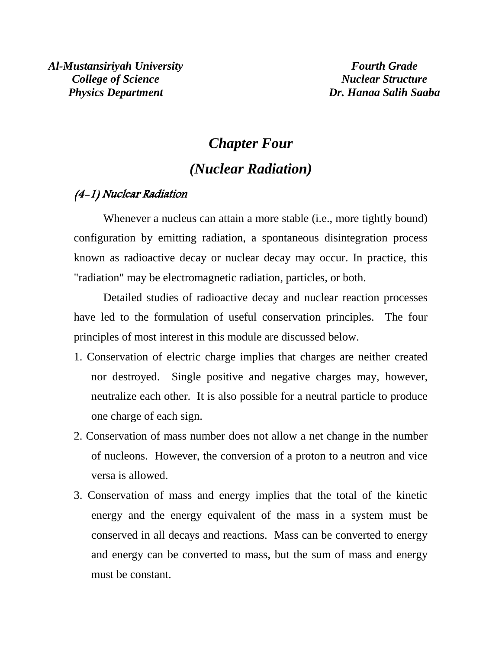# *Chapter Four (Nuclear Radiation)*

# (4-1) Nuclear Radiation

Whenever a nucleus can attain a more stable (i.e., more tightly bound) configuration by emitting radiation, a spontaneous disintegration process known as radioactive decay or nuclear decay may occur. In practice, this "radiation" may be electromagnetic radiation, particles, or both.

Detailed studies of radioactive decay and nuclear reaction processes have led to the formulation of useful conservation principles. The four principles of most interest in this module are discussed below.

- 1. Conservation of electric charge implies that charges are neither created nor destroyed. Single positive and negative charges may, however, neutralize each other. It is also possible for a neutral particle to produce one charge of each sign.
- 2. Conservation of mass number does not allow a net change in the number of nucleons. However, the conversion of a proton to a neutron and vice versa is allowed.
- 3. Conservation of mass and energy implies that the total of the kinetic energy and the energy equivalent of the mass in a system must be conserved in all decays and reactions. Mass can be converted to energy and energy can be converted to mass, but the sum of mass and energy must be constant.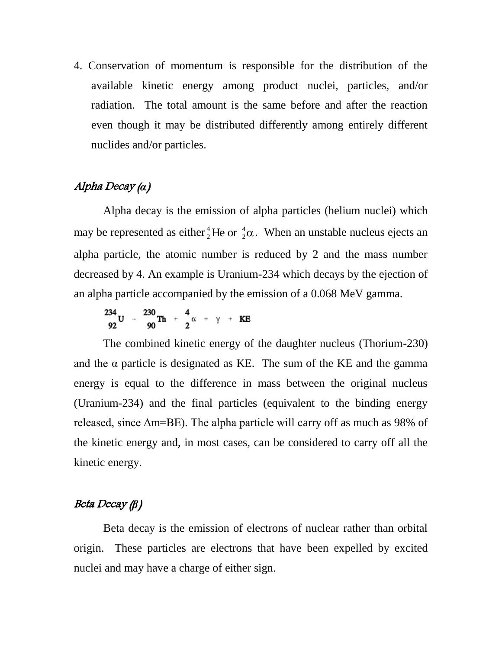4. Conservation of momentum is responsible for the distribution of the available kinetic energy among product nuclei, particles, and/or radiation. The total amount is the same before and after the reaction even though it may be distributed differently among entirely different nuclides and/or particles.

# Alpha Decay (*α*)

Alpha decay is the emission of alpha particles (helium nuclei) which may be represented as either  ${}^{4}_{2}$ He or  ${}^{4}_{2}$  $\alpha$ 2  $^{4}_{2}$ He or  $^{4}_{2} \alpha$ . When an unstable nucleus ejects an alpha particle, the atomic number is reduced by 2 and the mass number decreased by 4. An example is Uranium-234 which decays by the ejection of an alpha particle accompanied by the emission of a 0.068 MeV gamma.

 $\frac{234}{92}$ U -  $\frac{230}{90}$ Th +  $\frac{4}{2}$  $\alpha$  +  $\gamma$  + KE

The combined kinetic energy of the daughter nucleus (Thorium-230) and the  $\alpha$  particle is designated as KE. The sum of the KE and the gamma energy is equal to the difference in mass between the original nucleus (Uranium-234) and the final particles (equivalent to the binding energy released, since  $\Delta m = BE$ ). The alpha particle will carry off as much as 98% of the kinetic energy and, in most cases, can be considered to carry off all the kinetic energy.

# Beta Decay (*β*)

Beta decay is the emission of electrons of nuclear rather than orbital origin. These particles are electrons that have been expelled by excited nuclei and may have a charge of either sign.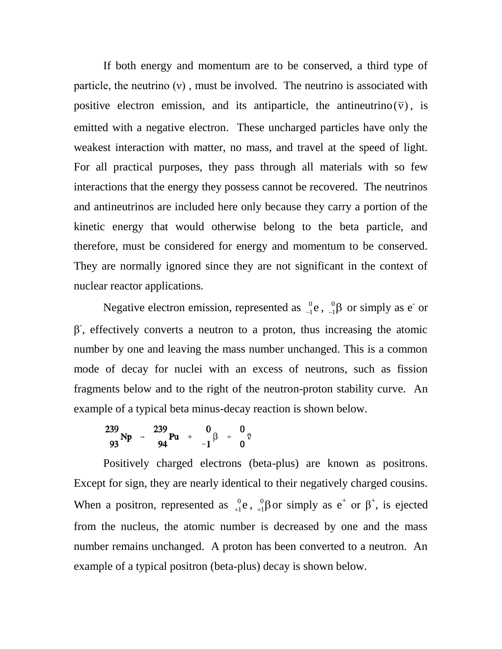If both energy and momentum are to be conserved, a third type of particle, the neutrino  $(v)$ , must be involved. The neutrino is associated with positive electron emission, and its antiparticle, the antineutrino  $(\overline{v})$ , is emitted with a negative electron. These uncharged particles have only the weakest interaction with matter, no mass, and travel at the speed of light. For all practical purposes, they pass through all materials with so few interactions that the energy they possess cannot be recovered. The neutrinos and antineutrinos are included here only because they carry a portion of the kinetic energy that would otherwise belong to the beta particle, and therefore, must be considered for energy and momentum to be conserved. They are normally ignored since they are not significant in the context of nuclear reactor applications.

Negative electron emission, represented as  ${}_{-1}^{0}$ e,  ${}_{-1}^{0}$  $\beta$ 1 0  $_{1}^{0}$ e,  $_{-1}^{0}$  $\beta$  or simply as e<sup>-</sup> or  $\beta$ , effectively converts a neutron to a proton, thus increasing the atomic number by one and leaving the mass number unchanged. This is a common mode of decay for nuclei with an excess of neutrons, such as fission fragments below and to the right of the neutron-proton stability curve. An example of a typical beta minus-decay reaction is shown below.

$$
239\n93 \text{ Np} \rightarrow \begin{array}{c} 239\\ \text{94} \end{array} \text{Pu} + \begin{array}{c} 0\\ -1 \end{array} \beta + \begin{array}{c} 0\\ 0 \end{array}
$$

Positively charged electrons (beta-plus) are known as positrons. Except for sign, they are nearly identical to their negatively charged cousins. When a positron, represented as  ${}^{0}_{+1}$ e,  ${}^{0}_{+1}$  $\beta$ 1 0  $_{1}^{0}$ e,  $_{+1}^{0}$ βor simply as e<sup>+</sup> or β<sup>+</sup>, is ejected from the nucleus, the atomic number is decreased by one and the mass number remains unchanged. A proton has been converted to a neutron. An example of a typical positron (beta-plus) decay is shown below.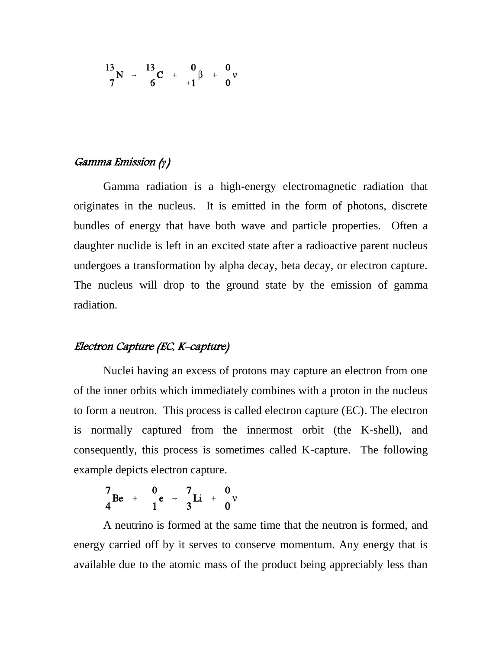$$
\frac{13}{7}N - \frac{13}{6}C + \frac{0}{11}\beta + \frac{0}{0}\nu
$$

## Gamma Emission (*γ*)

Gamma radiation is a high-energy electromagnetic radiation that originates in the nucleus. It is emitted in the form of photons, discrete bundles of energy that have both wave and particle properties. Often a daughter nuclide is left in an excited state after a radioactive parent nucleus undergoes a transformation by alpha decay, beta decay, or electron capture. The nucleus will drop to the ground state by the emission of gamma radiation.

## Electron Capture (EC, K-capture)

Nuclei having an excess of protons may capture an electron from one of the inner orbits which immediately combines with a proton in the nucleus to form a neutron. This process is called electron capture (EC). The electron is normally captured from the innermost orbit (the K-shell), and consequently, this process is sometimes called K-capture. The following example depicts electron capture.

 $\frac{7}{4}$ Be +  $\frac{0}{-1}$ e -  $\frac{7}{3}$ Li +  $\frac{0}{0}$ 

A neutrino is formed at the same time that the neutron is formed, and energy carried off by it serves to conserve momentum. Any energy that is available due to the atomic mass of the product being appreciably less than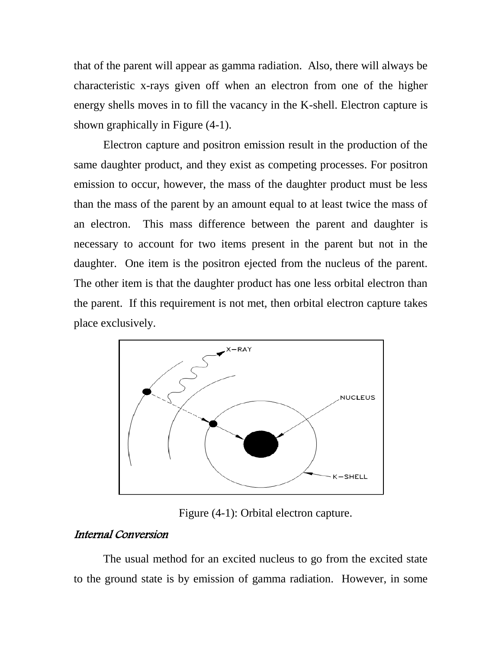that of the parent will appear as gamma radiation. Also, there will always be characteristic x-rays given off when an electron from one of the higher energy shells moves in to fill the vacancy in the K-shell. Electron capture is shown graphically in Figure (4-1).

Electron capture and positron emission result in the production of the same daughter product, and they exist as competing processes. For positron emission to occur, however, the mass of the daughter product must be less than the mass of the parent by an amount equal to at least twice the mass of an electron. This mass difference between the parent and daughter is necessary to account for two items present in the parent but not in the daughter. One item is the positron ejected from the nucleus of the parent. The other item is that the daughter product has one less orbital electron than the parent. If this requirement is not met, then orbital electron capture takes place exclusively.



Figure (4-1): Orbital electron capture.

## Internal Conversion

The usual method for an excited nucleus to go from the excited state to the ground state is by emission of gamma radiation. However, in some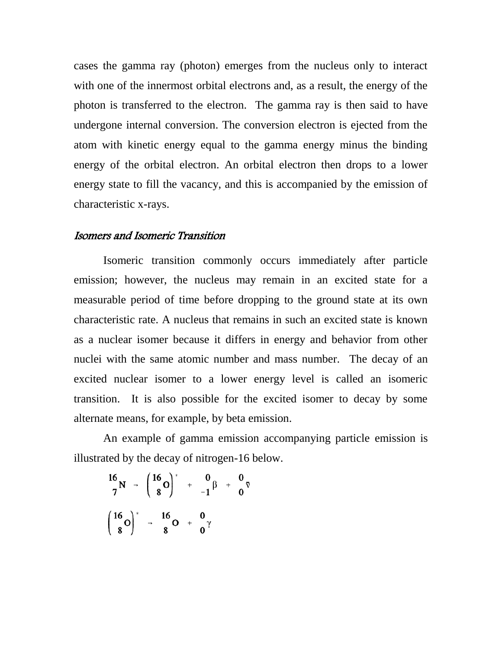cases the gamma ray (photon) emerges from the nucleus only to interact with one of the innermost orbital electrons and, as a result, the energy of the photon is transferred to the electron. The gamma ray is then said to have undergone internal conversion. The conversion electron is ejected from the atom with kinetic energy equal to the gamma energy minus the binding energy of the orbital electron. An orbital electron then drops to a lower energy state to fill the vacancy, and this is accompanied by the emission of characteristic x-rays.

#### Isomers and Isomeric Transition

Isomeric transition commonly occurs immediately after particle emission; however, the nucleus may remain in an excited state for a measurable period of time before dropping to the ground state at its own characteristic rate. A nucleus that remains in such an excited state is known as a nuclear isomer because it differs in energy and behavior from other nuclei with the same atomic number and mass number. The decay of an excited nuclear isomer to a lower energy level is called an isomeric transition. It is also possible for the excited isomer to decay by some alternate means, for example, by beta emission.

An example of gamma emission accompanying particle emission is illustrated by the decay of nitrogen-16 below.

$$
\frac{16}{7}N \rightarrow \left(\frac{16}{8}O\right)^{*} + \frac{0}{-1}\beta + \frac{0}{0}\overline{v}
$$

$$
\left(\frac{16}{8}O\right)^{*} \rightarrow \frac{16}{8}O + \frac{0}{0}\gamma
$$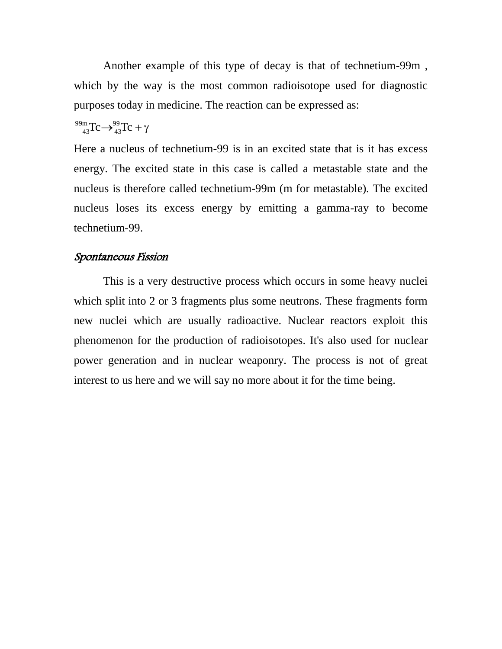Another example of this type of decay is that of technetium-99m , which by the way is the most common radioisotope used for diagnostic purposes today in medicine. The reaction can be expressed as:

 $TC \rightarrow_{43}^{99}TC + \gamma$ 43 99m 43

Here a nucleus of technetium-99 is in an excited state that is it has excess energy. The excited state in this case is called a metastable state and the nucleus is therefore called technetium-99m (m for metastable). The excited nucleus loses its excess energy by emitting a gamma-ray to become technetium-99.

#### Spontaneous Fission

This is a very destructive process which occurs in some heavy nuclei which split into 2 or 3 fragments plus some neutrons. These fragments form new nuclei which are usually radioactive. Nuclear reactors exploit this phenomenon for the production of radioisotopes. It's also used for nuclear power generation and in nuclear weaponry. The process is not of great interest to us here and we will say no more about it for the time being.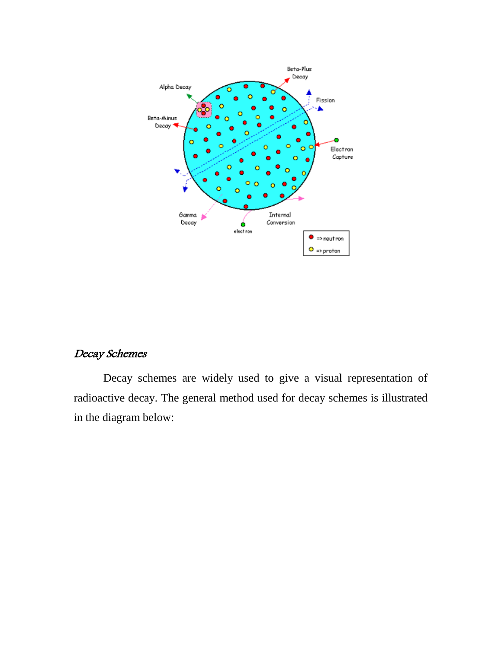

# Decay Schemes

Decay schemes are widely used to give a visual representation of radioactive decay. The general method used for decay schemes is illustrated in the diagram below: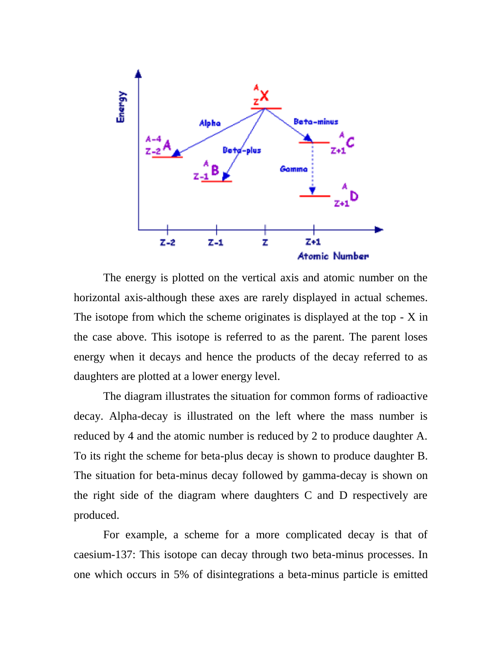

The energy is plotted on the vertical axis and atomic number on the horizontal axis-although these axes are rarely displayed in actual schemes. The isotope from which the scheme originates is displayed at the top  $- X$  in the case above. This isotope is referred to as the parent. The parent loses energy when it decays and hence the products of the decay referred to as daughters are plotted at a lower energy level.

The diagram illustrates the situation for common forms of radioactive decay. Alpha-decay is illustrated on the left where the mass number is reduced by 4 and the atomic number is reduced by 2 to produce daughter A. To its right the scheme for beta-plus decay is shown to produce daughter B. The situation for beta-minus decay followed by gamma-decay is shown on the right side of the diagram where daughters C and D respectively are produced.

For example, a scheme for a more complicated decay is that of caesium-137: This isotope can decay through two beta-minus processes. In one which occurs in 5% of disintegrations a beta-minus particle is emitted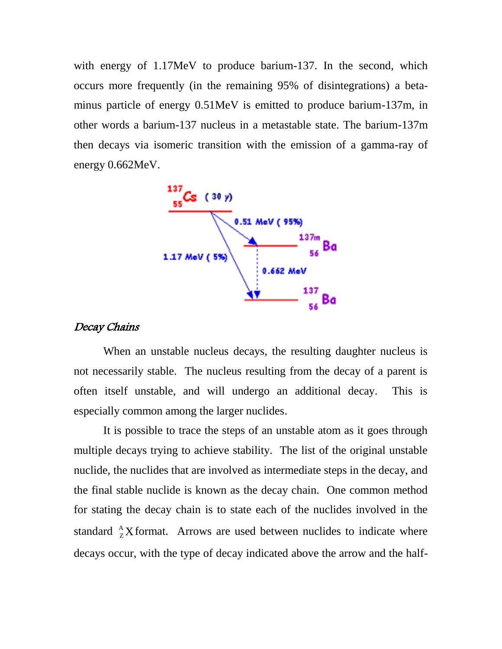with energy of 1.17MeV to produce barium-137. In the second, which occurs more frequently (in the remaining 95% of disintegrations) a betaminus particle of energy 0.51MeV is emitted to produce barium-137m, in other words a barium-137 nucleus in a metastable state. The barium-137m then decays via isomeric transition with the emission of a gamma-ray of energy 0.662MeV.



#### Decay Chains

When an unstable nucleus decays, the resulting daughter nucleus is not necessarily stable. The nucleus resulting from the decay of a parent is often itself unstable, and will undergo an additional decay. This is especially common among the larger nuclides.

It is possible to trace the steps of an unstable atom as it goes through multiple decays trying to achieve stability. The list of the original unstable nuclide, the nuclides that are involved as intermediate steps in the decay, and the final stable nuclide is known as the decay chain. One common method for stating the decay chain is to state each of the nuclides involved in the standard  $^{A}_{Z}X$  ${}^{\text{A}}_{Z}$ X format. Arrows are used between nuclides to indicate where decays occur, with the type of decay indicated above the arrow and the half